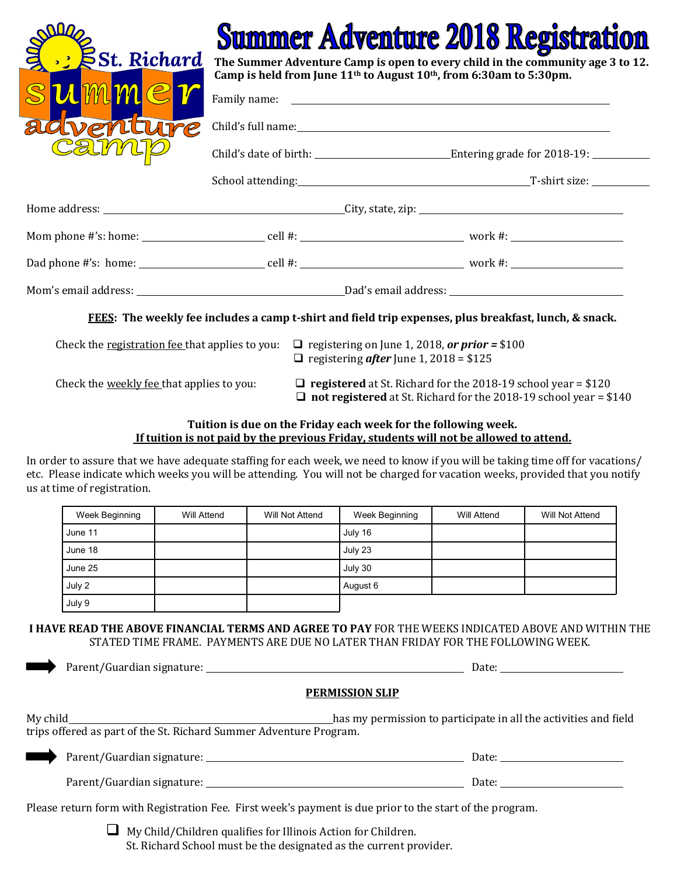

## ummer Adventure 2018 Regist

**The Summer Adventure Camp is open to every child in the community age 3 to 12. Camp is held from June 11th to August 10th, from 6:30am to 5:30pm.**

| adventure<br>Camup |                                                                                                       |
|--------------------|-------------------------------------------------------------------------------------------------------|
|                    |                                                                                                       |
|                    | School attending: T-shirt size: T-shirt size:                                                         |
|                    |                                                                                                       |
|                    |                                                                                                       |
|                    |                                                                                                       |
|                    |                                                                                                       |
|                    | FEES: The weekly fee includes a camp t-shirt and field trip expenses, plus breakfast, lunch, & snack. |

 $\Box$  registering *after* June 1, 2018 = \$125

Check the <u>weekly fee</u> that applies to you:  $\Box$  **registered** at St. Richard for the 2018-19 school year = \$120 **not registered** at St. Richard for the 2018-19 school year = \$140

## **Tuition is due on the Friday each week for the following week. If tuition is not paid by the previous Friday, students will not be allowed to attend.**

In order to assure that we have adequate staffing for each week, we need to know if you will be taking time off for vacations/ etc. Please indicate which weeks you will be attending. You will not be charged for vacation weeks, provided that you notify us at time of registration.

| Week Beginning | Will Attend | Will Not Attend | Week Beginning | Will Attend | Will Not Attend |
|----------------|-------------|-----------------|----------------|-------------|-----------------|
| June 11        |             |                 | July 16        |             |                 |
| June 18        |             |                 | July 23        |             |                 |
| June 25        |             |                 | July 30        |             |                 |
| July 2         |             |                 | August 6       |             |                 |
| July 9         |             |                 |                |             |                 |

## **I HAVE READ THE ABOVE FINANCIAL TERMS AND AGREE TO PAY** FOR THE WEEKS INDICATED ABOVE AND WITHIN THE STATED TIME FRAME. PAYMENTS ARE DUE NO LATER THAN FRIDAY FOR THE FOLLOWING WEEK.

|                                                                                                          | Date: $\frac{1}{\sqrt{1-\frac{1}{2}}}\frac{1}{\sqrt{1-\frac{1}{2}}}\frac{1}{\sqrt{1-\frac{1}{2}}}\frac{1}{\sqrt{1-\frac{1}{2}}}\frac{1}{\sqrt{1-\frac{1}{2}}}\frac{1}{\sqrt{1-\frac{1}{2}}}\frac{1}{\sqrt{1-\frac{1}{2}}}\frac{1}{\sqrt{1-\frac{1}{2}}}\frac{1}{\sqrt{1-\frac{1}{2}}}\frac{1}{\sqrt{1-\frac{1}{2}}}\frac{1}{\sqrt{1-\frac{1}{2}}}\frac{1}{\sqrt{1-\frac{1}{2}}}\frac{1}{\sqrt{1-\frac{1}{2}}}\frac{1}{\$ |
|----------------------------------------------------------------------------------------------------------|--------------------------------------------------------------------------------------------------------------------------------------------------------------------------------------------------------------------------------------------------------------------------------------------------------------------------------------------------------------------------------------------------------------------------|
|                                                                                                          | <b>PERMISSION SLIP</b>                                                                                                                                                                                                                                                                                                                                                                                                   |
| trips offered as part of the St. Richard Summer Adventure Program.                                       |                                                                                                                                                                                                                                                                                                                                                                                                                          |
|                                                                                                          |                                                                                                                                                                                                                                                                                                                                                                                                                          |
|                                                                                                          | Date: the contract of the contract of the contract of the contract of the contract of the contract of the contract of the contract of the contract of the contract of the contract of the contract of the contract of the cont                                                                                                                                                                                           |
| Please return form with Registration Fee. First week's payment is due prior to the start of the program. |                                                                                                                                                                                                                                                                                                                                                                                                                          |

 $\Box$  My Child/Children qualifies for Illinois Action for Children. St. Richard School must be the designated as the current provider.